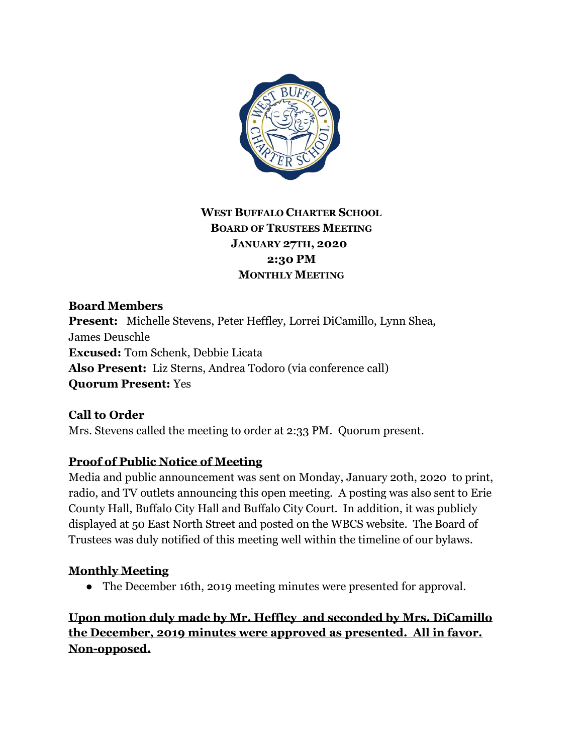

# **WEST BUFFALO CHARTER SCHOOL BOARD OF TRUSTEES MEETING JANUARY 27TH, 2020 2:30 PM MONTHLY MEETING**

**Board Members Present:** Michelle Stevens, Peter Heffley, Lorrei DiCamillo, Lynn Shea, James Deuschle **Excused:** Tom Schenk, Debbie Licata **Also Present:** Liz Sterns, Andrea Todoro (via conference call) **Quorum Present:** Yes

**Call to Order** Mrs. Stevens called the meeting to order at 2:33 PM. Quorum present.

## **Proof of Public Notice of Meeting**

Media and public announcement was sent on Monday, January 20th, 2020 to print, radio, and TV outlets announcing this open meeting. A posting was also sent to Erie County Hall, Buffalo City Hall and Buffalo City Court. In addition, it was publicly displayed at 50 East North Street and posted on the WBCS website. The Board of Trustees was duly notified of this meeting well within the timeline of our bylaws.

# **Monthly Meeting**

• The December 16th, 2019 meeting minutes were presented for approval.

**Upon motion duly made by Mr. Heffley and seconded by Mrs. DiCamillo the December, 2019 minutes were approved as presented. All in favor. Non-opposed.**